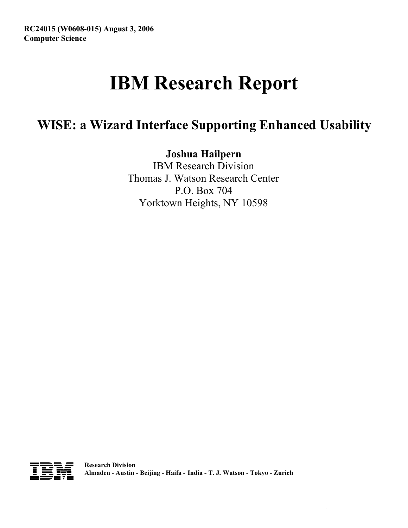# **IBM Research Report**

# **WISE: a Wizard Interface Supporting Enhanced Usability**

**Joshua Hailpern**

IBM Research Division Thomas J. Watson Research Center P.O. Box 704 Yorktown Heights, NY 10598



.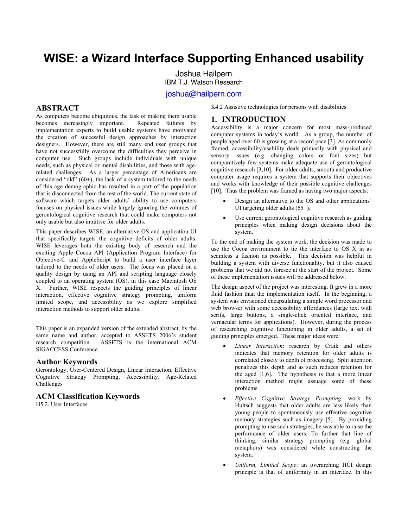# **WISE: a Wizard Interface Supporting Enhanced usability**

Joshua Hailpern IBM T.J. Watson Research

[joshua@hailpern.com](mailto:joshua@hailpern.com) 

#### **ABSTRACT**

As computers become ubiquitous, the task of making them usable becomes increasingly important. Repeated failures by implementation experts to build usable systems have motivated the creation of successful design approaches by interaction designers. However, there are still many end user groups that have not successfully overcome the difficulties they perceive in computer use. Such groups include individuals with unique needs, such as physical or mental disabilities, and those with agerelated challenges. As a larger percentage of Americans are considered "old"  $(60+)$ , the lack of a system tailored to the needs of this age demographic has resulted in a part of the population that is disconnected from the rest of the world. The current state of software which targets older adults' ability to use computers focuses on physical issues while largely ignoring the volumes of gerontological cognitive research that could make computers not only usable but also intuitive for older adults.

This paper describes WISE, an alternative OS and application UI that specifically targets the cognitive deficits of older adults. WISE leverages both the existing body of research and the exciting Apple Cocoa API (Application Program Interface) for Objective-C and AppleScript to build a user interface layer tailored to the needs of older users. The focus was placed on a quality design by using an API and scripting language closely coupled to an operating system (OS), in this case Macintosh OS X. Further, WISE respects the guiding principles of linear interaction, effective cognitive strategy prompting, uniform limited scope, and accessibility as we explore simplified interaction methods to support older adults.

This paper is an expanded version of the extended abstract, by the same name and author, accepted to ASSETS 2006's student research competition. ASSETS is the international ACM ASSETS is the international ACM SIGACCESS Conference.

#### **Author Keywords**

Gerontology, User-Centered Design, Linear Interaction, Effective Cognitive Strategy Prompting, Accessibility, Age-Related Challenges

#### **ACM Classification Keywords**

H5.2. User Interfaces

K4.2 Assistive technologies for persons with disabilities

#### **1. INTRODUCTION**

Accessibility is a major concern for most mass-produced computer systems in today's world. As a group, the number of people aged over 60 is growing at a record pace [[3\].](#page-8-0) As commonly framed, accessibility/usability deals primarily with physical and sensory issues (e.g. changing colors or font sizes) but comparatively few systems make adequate use of gerontological cognitive research [[3,](#page-8-0)[10\].](#page-9-0) For older adults, smooth and productive computer usage requires a system that supports their objectives and works with knowledge of their possible cognitive challenges [[10\]](#page-9-0). Thus the problem was framed as having two major aspects:

- Design an alternative to the OS and other applications' UI targeting older adults (65+).
- Use current gerontological cognitive research as guiding principles when making design decisions about the system.

To the end of making the system work, the decision was made to use the Cocoa environment to tie the interface to OS X in as seamless a fashion as possible. This decision was helpful in building a system with diverse functionality, but it also caused problems that we did not foresee at the start of the project. Some of these implementation issues will be addressed below.

The design aspect of the project was interesting. It grew in a more fluid fashion than the implementation itself. In the beginning, a system was envisioned encapsulating a simple word processor and web browser with some accessibility affordances (large text with serifs, large buttons, a single-click oriented interface, and vernacular terms for applications). However, during the process of researching cognitive functioning in older adults, a set of guiding principles emerged. These major ideas were:

- *Linear Interaction*: research by Craik and others indicates that memory retention for older adults is correlated closely to depth of processing. Split attention penalizes this depth and as such reduces retention for the aged [[1,](#page-8-1)[6\].](#page-9-1) The hypothesis is that a more linear interaction method might assuage some of these problems.
- *Effective Cognitive Strategy Prompting*: work by Hultsch suggests that older adults are less likely than young people to spontaneously use effective cognitive memory strategies such as imagery [[5\]](#page-8-2). By providing prompting to use such strategies, he was able to raise the performance of older users. To further that line of thinking, similar strategy prompting (e.g. global metaphors) was considered while constructing the system.
- *Uniform, Limited Scope*: an overarching HCI design principle is that of uniformity in an interface. In this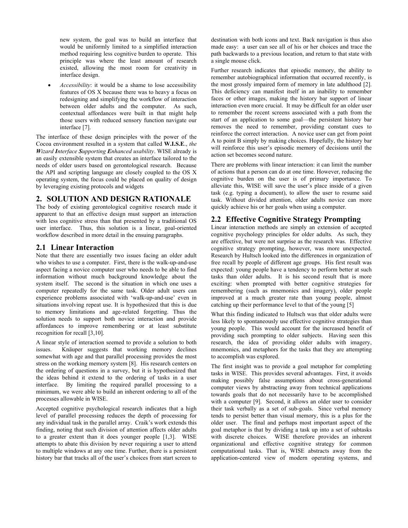new system, the goal was to build an interface that would be uniformly limited to a simplified interaction method requiring less cognitive burden to operate. This principle was where the least amount of research existed, allowing the most room for creativity in interface design.

• *Accessibility*: it would be a shame to lose accessibility features of OS X because there was to heavy a focus on redesigning and simplifying the workflow of interaction between older adults and the computer. As such, contextual affordances were built in that might help those users with reduced sensory function navigate our interface [[7\].](#page-9-2)

The interface of these design principles with the power of the Cocoa environment resulted in a system that called **W.I.S.E**., *the Wizard Interface Supporting Enhanced usability*. WISE already is an easily extensible system that creates an interface tailored to the needs of older users based on gerontological research. Because the API and scripting language are closely coupled to the OS X operating system, the focus could be placed on quality of design by leveraging existing protocols and widgets

#### **2. SOLUTION AND DESIGN RATIONALE**

The body of existing gerontological cognitive research made it apparent to that an effective design must support an interaction with less cognitive stress than that presented by a traditional OS user interface. Thus, this solution is a linear, goal-oriented workflow described in more detail in the ensuing paragraphs.

# **2.1 Linear Interaction**

Note that there are essentially two issues facing an older adult who wishes to use a computer. First, there is the walk-up-and-use aspect facing a novice computer user who needs to be able to find information without much background knowledge about the system itself. The second is the situation in which one uses a computer repeatedly for the same task. Older adult users can experience problems associated with 'walk-up-and-use' even in situations involving repeat use. It is hypothesized that this is due to memory limitations and age-related forgetting. Thus the solution needs to support both novice interaction and provide affordances to improve remembering or at least substitute recognition for recall [[3,](#page-8-0)[10\].](#page-9-0)

A linear style of interaction seemed to provide a solution to both issues. Knäuper suggests that working memory declines somewhat with age and that parallel processing provides the most stress on the working memory system [[8\].](#page-9-3) His research centers on the ordering of questions in a survey, but it is hypothesized that the ideas behind it extend to the ordering of tasks in a user interface. By limiting the required parallel processing to a minimum, we were able to build an inherent ordering to all of the processes allowable in WISE.

Accepted cognitive psychological research indicates that a high level of parallel processing reduces the depth of processing for any individual task in the parallel array. Craik's work extends this finding, noting that such division of attention affects older adults to a greater extent than it does younger people [[1,](#page-8-1)[3\].](#page-8-0) WISE attempts to abate this division by never requiring a user to attend to multiple windows at any one time. Further, there is a persistent history bar that tracks all of the user's choices from start screen to

destination with both icons and text. Back navigation is thus also made easy: a user can see all of his or her choices and trace the path backwards to a previous location, and return to that state with a single mouse click.

Further research indicates that episodic memory, the ability to remember autobiographical information that occurred recently, is the most grossly impaired form of memory in late adulthood [[2\].](#page-8-3) This deficiency can manifest itself in an inability to remember faces or other images, making the history bar support of linear interaction even more crucial. It may be difficult for an older user to remember the recent screens associated with a path from the start of an application to some goal—the persistent history bar removes the need to remember, providing constant cues to reinforce the correct interaction. A novice user can get from point A to point B simply by making choices. Hopefully, the history bar will reinforce this user's episodic memory of decisions until the action set becomes second nature.

There are problems with linear interaction: it can limit the number of actions that a person can do at one time. However, reducing the cognitive burden on the user is of primary importance. To alleviate this, WISE will save the user's place inside of a given task (e.g. typing a document), to allow the user to resume said task. Without divided attention, older adults novice can more quickly achieve his or her goals when using a computer.

#### **2.2 Effective Cognitive Strategy Prompting**

Linear interaction methods are simply an extension of accepted cognitive psychology principles for older adults. As such, they are effective, but were not surprise as the research was. Effective cognitive strategy prompting, however, was more unexpected. Research by Hultsch looked into the differences in organization of free recall by people of different age groups. His first result was expected: young people have a tendency to perform better at such tasks than older adults. It is his second result that is more exciting: when prompted with better cognitive strategies for remembering (such as mnemonics and imagery), older people improved at a much greater rate than young people, almost catching up their performance level to that of the young [[5\]](#page-8-2) 

What this finding indicated to Hultsch was that older adults were less likely to spontaneously use effective cognitive strategies than young people. This would account for the increased benefit of providing such prompting to older subjects. Having seen this research, the idea of providing older adults with imagery, mnemonics, and metaphors for the tasks that they are attempting to accomplish was explored.

The first insight was to provide a goal metaphor for completing tasks in WISE. This provides several advantages. First, it avoids making possibly false assumptions about cross-generational computer views by abstracting away from technical applications towards goals that do not necessarily have to be accomplished with a computer [[9\].](#page-9-4) Second, it allows an older user to consider their task verbally as a set of sub-goals. Since verbal memory tends to persist better than visual memory, this is a plus for the older user. The final and perhaps most important aspect of the goal metaphor is that by dividing a task up into a set of subtasks with discrete choices. WISE therefore provides an inherent organizational and effective cognitive strategy for common computational tasks. That is, WISE abstracts away from the application-centered view of modern operating systems, and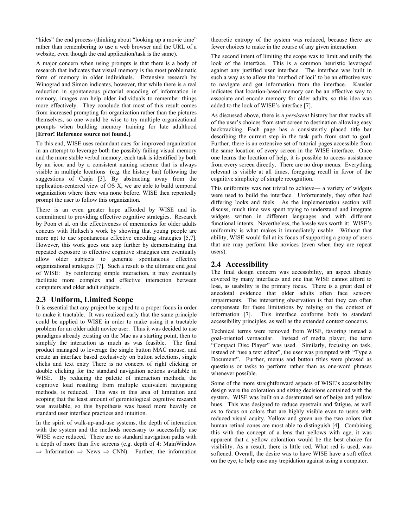"hides" the end process (thinking about "looking up a movie time" rather than remembering to use a web browser and the URL of a website, even though the end application/task is the same).

A major concern when using prompts is that there is a body of research that indicates that visual memory is the most problematic form of memory in older individuals. Extensive research by Winograd and Simon indicates, however, that while there is a real reduction in spontaneous pictorial encoding of information in memory, images can help older individuals to remember things more effectively. They conclude that most of this result comes from increased prompting for organization rather than the pictures themselves, so one would be wise to try multiple organizational prompts when building memory training for late adulthood [**[Error! Reference source not found.](#page-8-0)**].

To this end, WISE uses redundant cues for improved organization in an attempt to leverage both the possibly failing visual memory and the more stable verbal memory; each task is identified by both by an icon and by a consistent naming scheme that is always visible in multiple locations (e.g. the history bar) following the suggestions of Czaja [[3\].](#page-8-0) By abstracting away from the application-centered view of OS X, we are able to build temporal organization where there was none before. WISE then repeatedly prompt the user to follow this organization.

There is an even greater hope afforded by WISE and its commitment to providing effective cognitive strategies. Research by Poon et al. on the effectiveness of mnemonics for older adults concurs with Hultsch's work by showing that young people are more apt to use spontaneous effective encoding strategies [[5,](#page-8-2)[7\].](#page-9-2) However, this work goes one step further by demonstrating that repeated exposure to effective cognitive strategies can eventually allow older subjects to generate spontaneous effective organizational strategies [[7\].](#page-9-2) Such a result is the ultimate end goal of WISE: by reinforcing simple interaction, it may eventually facilitate more complex and effective interaction between computers and older adult subjects.

# **2.3 Uniform, Limited Scope**

It is essential that any project be scoped to a proper focus in order to make it tractable. It was realized early that the same principle could be applied to WISE in order to make using it a tractable problem for an older adult novice user. Thus it was decided to use paradigms already existing on the Mac as a starting point, then to simplify the interaction as much as was feasible. The final product managed to leverage the single button MAC mouse, and create an interface based exclusively on button selections, single clicks and text entry There is no concept of right clicking or double clicking for the standard navigation actions available in WISE. By reducing the palette of interaction methods, the cognitive load resulting from multiple equivalent navigating methods, is reduced. This was in this area of limitation and scoping that the least amount of gerontological cognitive research was available, so this hypothesis was based more heavily on standard user interface practices and intuition.

In the spirit of walk-up-and-use systems, the depth of interaction with the system and the methods necessary to successfully use WISE were reduced. There are no standard navigation paths with a depth of more than five screens (e.g. depth of 4: MainWindow  $\Rightarrow$  Information  $\Rightarrow$  News  $\Rightarrow$  CNN). Further, the information theoretic entropy of the system was reduced, because there are fewer choices to make in the course of any given interaction.

The second intent of limiting the scope was to limit and unify the look of the interface. This is a common heuristic leveraged against any justified user interface. The interface was built in such a way as to allow the 'method of loci' to be an effective way to navigate and get information from the interface. Kausler indicates that location-based memory can be an effective way to associate and encode memory for older adults, so this idea was added to the look of WISE's interface [[7\].](#page-9-2)

As discussed above, there is a *persistent* history bar that tracks all of the user's choices from start screen to destination allowing easy backtracking. Each page has a consistently placed title bar describing the current step in the task path from start to goal. Further, there is an extensive set of tutorial pages accessible from the same location of every screen in the WISE interface. Once one learns the location of help, it is possible to access assistance from every screen directly. There are no drop menus. Everything relevant is visible at all times, foregoing recall in favor of the cognitive simplicity of simple recognition.

This uniformity was not trivial to achieve— a variety of widgets were used to build the interface. Unfortunately, they often had differing looks and feels. As the implementation section will discuss, much time was spent trying to understand and integrate widgets written in different languages and with different functional intents. Nevertheless, the hassle was worth it: WISE's uniformity is what makes it immediately usable. Without that ability, WISE would fail at its focus of supporting a group of users that are may perform like novices (even when they are repeat users).

#### **2.4 Accessibility**

The final design concern was accessibility, an aspect already covered by many interfaces and one that WISE cannot afford to lose, as usability is the primary focus. There is a great deal of anecdotal evidence that older adults often face sensory impairments. The interesting observation is that they can often compensate for these limitations by relying on the context of information [[7\]](#page-9-2). This interface conforms both to standard accessibility principles, as well as the extended context concerns.

Technical terms were removed from WISE, favoring instead a goal-oriented vernacular. Instead of media player, the term "Compact Disc Player" was used. Similarly, focusing on task, instead of "use a text editor", the user was prompted with "Type a Document". Further, menus and button titles were phrased as questions or tasks to perform rather than as one-word phrases whenever possible.

Some of the more straightforward aspects of WISE's accessibility design were the coloration and sizing decisions contained with the system. WISE was built on a desaturated set of beige and yellow hues. This was designed to reduce eyestrain and fatigue, as well as to focus on colors that are highly visible even to users with reduced visual acuity. Yellow and green are the two colors that human retinal cones are most able to distinguish [[4\]](#page-8-4). Combining this with the concept of a lens that yellows with age, it was apparent that a yellow coloration would be the best choice for visibility. As a result, there is little red. What red is used, was softened. Overall, the desire was to have WISE have a soft effect on the eye, to help ease any trepidation against using a computer.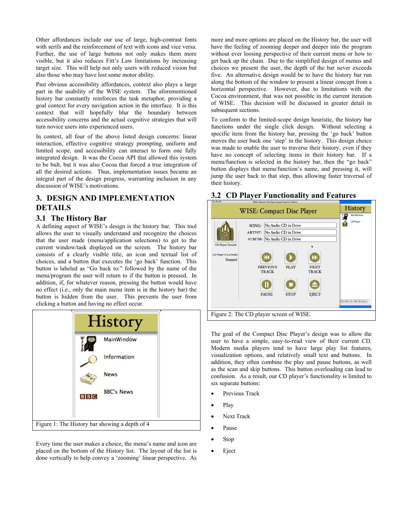Other affordances include our use of large, high-contrast fonts with serifs and the reinforcement of text with icons and vice versa. Further, the use of large buttons not only makes them more visible, but it also reduces Fitt's Law limitations by increasing target size. This will help not only users with reduced vision but also those who may have lost some motor ability.

Past obvious accessibility affordances, context also plays a large part in the usability of the WISE system. The aforementioned history bar constantly reinforces the task metaphor, providing a goal context for every navigation action in the interface. It is this context that will hopefully blur the boundary between accessibility concerns and the actual cognitive strategies that will turn novice users into experienced users.

In context, all four of the above listed design concerns: linear interaction, effective cognitive strategy prompting, uniform and limited scope, and accessibility can interact to form one fully integrated design. It was the Cocoa API that allowed this system to be bult, but it was also Cocoa that forced a true integration of all the desired actions. Thus, implementation issues became an integral part of the design progress, warranting inclusion in any discussion of WISE's motivations.

# **3. DESIGN AND IMPLEMENTATION DETAILS**

#### **3.1 The History Bar**

A defining aspect of WISE's design is the history bar. This tool allows the user to visually understand and recognize the choices that the user made (menu/application selections) to get to the current window/task displayed on the screen. The history bar consists of a clearly visible title, an icon and textual list of choices, and a button that executes the 'go back' function. This button is labeled as "Go back to:" followed by the name of the menu/program the user will return to if the button is pressed. In addition, if, for whatever reason, pressing the button would have no effect (i.e., only the main menu item is in the history bar) the button is hidden from the user. This prevents the user from clicking a button and having no effect occur.



Every time the user makes a choice, the menu's name and icon are placed on the bottom of the History list. The layout of the list is done vertically to help convey a 'zooming' linear perspective. As more and more options are placed on the History bar, the user will have the feeling of zooming deeper and deeper into the program without ever loosing perspective of their current menu or how to get back up the chain. Due to the simplified design of menus and choices we present the user, the depth of the bar never exceeds five. An alternative design would be to have the history bar run along the bottom of the window to present a linear concept from a horizontal perspective. However, due to limitations with the Cocoa environment, that was not possible in the current iteration of WISE. This decision will be discussed in greater detail in subsequent sections.

To conform to the limited-scope design heuristic, the history bar functions under the single click design. Without selecting a specific item from the history bar, pressing the 'go back' button moves the user back one 'step' in the history. This design choice was made to enable the user to traverse their history, even if they have no concept of selecting items in their history bar. If a menu/function is selected in the history bar, then the "go back" button displays that menu/function's name, and pressing it, will jump the user back to that step, thus allowing faster traversal of their history.

# **3.2 CD Player Functionality and Features**



The goal of the Compact Disc Player's design was to allow the user to have a simple, easy-to-read view of their current CD. Modern media players tend to have large play list features, visualization options, and relatively small text and buttons. In addition, they often combine the play and pause buttons, as well as the scan and skip buttons. This button overloading can lead to confusion. As a result, our CD player's functionality is limited to six separate buttons:

- Previous Track
- Play
- Next Track
- Pause
- Stop
- Eject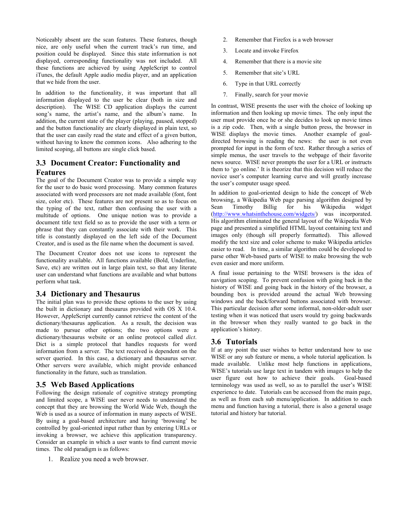Noticeably absent are the scan features. These features, though nice, are only useful when the current track's run time, and position could be displayed. Since this state information is not displayed, corresponding functionality was not included. All these functions are achieved by using AppleScript to control iTunes, the default Apple audio media player, and an application that we hide from the user.

In addition to the functionality, it was important that all information displayed to the user be clear (both in size and description). The WISE CD application displays the current song's name, the artist's name, and the album's name. In addition, the current state of the player (playing, paused, stopped) and the button functionality are clearly displayed in plain text, so that the user can easily read the state and effect of a given button, without having to know the common icons. Also adhering to the limited scoping, all buttons are single click based.

# **3.3 Document Creator: Functionality and Features**

The goal of the Document Creator was to provide a simple way for the user to do basic word processing. Many common features associated with word processors are not made available (font, font size, color etc). These features are not present so as to focus on the typing of the text, rather then confusing the user with a multitude of options. One unique notion was to provide a document title text field so as to provide the user with a term or phrase that they can constantly associate with their work. This title is constantly displayed on the left side of the Document Creator, and is used as the file name when the document is saved.

The Document Creator does not use icons to represent the functionality available. All functions available (Bold, Underline, Save, etc) are written out in large plain text, so that any literate user can understand what functions are available and what buttons perform what task.

# **3.4 Dictionary and Thesaurus**

The initial plan was to provide these options to the user by using the built in dictionary and thesaurus provided with OS X 10.4. However, AppleScript currently cannot retrieve the content of the dictionary/thesaurus application. As a result, the decision was made to pursue other options; the two options were a dictionary/thesaurus website or an online protocol called *dict*. Dict is a simple protocol that handles requests for word information from a server. The text received is dependent on the server queried. In this case, a dictionary and thesaurus server. Other servers were available, which might provide enhanced functionality in the future, such as translation.

# **3.5 Web Based Applications**

Following the design rationale of cognitive strategy prompting and limited scope, a WISE user never needs to understand the concept that they are browsing the World Wide Web, though the Web is used as a source of information in many aspects of WISE. By using a goal-based architecture and having 'browsing' be controlled by goal-oriented input rather than by entering URLs or invoking a browser, we achieve this application transparency. Consider an example in which a user wants to find current movie times. The old paradigm is as follows:

1. Realize you need a web browser.

- 2. Remember that Firefox is a web browser
- 3. Locate and invoke Firefox
- 4. Remember that there is a movie site
- 5. Remember that site's URL
- 6. Type in that URL correctly
- 7. Finally, search for your movie

In contrast, WISE presents the user with the choice of looking up information and then looking up movie times. The only input the user must provide once he or she decides to look up movie times is a zip code. Then, with a single button press, the browser in WISE displays the movie times. Another example of goaldirected browsing is reading the news: the user is not even prompted for input in the form of text. Rather through a series of simple menus, the user travels to the webpage of their favorite news source. WISE never prompts the user for a URL or instructs them to 'go online.' It is theorize that this decision will reduce the novice user's computer learning curve and will greatly increase the user's computer usage speed.

In addition to goal-oriented design to hide the concept of Web browsing, a Wikipedia Web page parsing algorithm designed by Sean Timothy Billig for his Wikipedia widget (<http://www.whatsinthehouse.com/widgets/>) was incorporated. His algorithm eliminated the general layout of the Wikipedia Web page and presented a simplified HTML layout containing text and images only (though sill properly formatted). This allowed modify the text size and color scheme to make Wikipedia articles easier to read. In time, a similar algorithm could be developed to parse other Web-based parts of WISE to make browsing the web even easier and more uniform.

A final issue pertaining to the WISE browsers is the idea of navigation scoping. To prevent confusion with going back in the history of WISE and going back in the history of the browser, a bounding box is provided around the actual Web browsing windows and the back/forward buttons associated with browser. This particular decision after some informal, non-older-adult user testing when it was noticed that users would try going backwards in the browser when they really wanted to go back in the application's history.

# **3.6 Tutorials**

If at any point the user wishes to better understand how to use WISE or any sub feature or menu, a whole tutorial application. Is made available. Unlike most help functions in applications, WISE's tutorials use large text in tandem with images to help the user figure out how to achieve their goals. Goal-based terminology was used as well, so as to parallel the user's WISE experience to date. Tutorials can be accessed from the main page, as well as from each sub menu/application. In addition to each menu and function having a tutorial, there is also a general usage tutorial and history bar tutorial.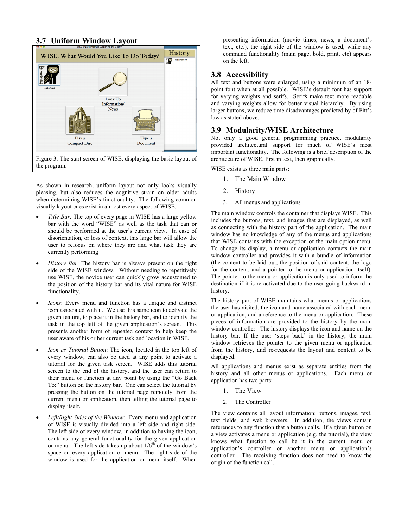# **3.7 Uniform Window Layout**



As shown in research, uniform layout not only looks visually pleasing, but also reduces the cognitive strain on older adults when determining WISE's functionality. The following common visually layout cues exist in almost every aspect of WISE.

- *Title Bar*: The top of every page in WISE has a large yellow bar with the word "WISE" as well as the task that can or should be performed at the user's current view. In case of disorientation, or loss of context, this large bar will allow the user to refocus on where they are and what task they are currently performing
- *History Bar*: The history bar is always present on the right side of the WISE window. Without needing to repetitively use WISE, the novice user can quickly grow accustomed to the position of the history bar and its vital nature for WISE functionality.
- *Icons*: Every menu and function has a unique and distinct icon associated with it. We use this same icon to activate the given feature, to place it in the history bar, and to identify the task in the top left of the given application's screen. This presents another form of repeated context to help keep the user aware of his or her current task and location in WISE.
- *Icon as Tutorial Button*: The icon, located in the top left of every window, can also be used at any point to activate a tutorial for the given task screen. WISE adds this tutorial screen to the end of the history, and the user can return to their menu or function at any point by using the "Go Back To:" button on the history bar. One can select the tutorial by pressing the button on the tutorial page remotely from the current menu or application, then telling the tutorial page to display itself.
- *Left/Right Sides of the Window*: Every menu and application of WISE is visually divided into a left side and right side. The left side of every window, in addition to having the icon, contains any general functionality for the given application or menu. The left side takes up about  $1/6^{th}$  of the window's space on every application or menu. The right side of the window is used for the application or menu itself. When

presenting information (movie times, news, a document's text, etc.), the right side of the window is used, while any command functionality (main page, bold, print, etc) appears on the left.

#### **3.8 Accessibility**

All text and buttons were enlarged, using a minimum of an 18 point font when at all possible. WISE's default font has support for varying weights and serifs. Serifs make text more readable and varying weights allow for better visual hierarchy. By using larger buttons, we reduce time disadvantages predicted by of Fitt's law as stated above.

#### **3.9 Modularity/WISE Architecture**

Not only a good general programming practice, modularity provided architectural support for much of WISE's most important functionality. The following is a brief description of the architecture of WISE, first in text, then graphically.

WISE exists as three main parts:

- 1. The Main Window
- 2. History
- 3. All menus and applications

The main window controls the container that displays WISE. This includes the buttons, text, and images that are displayed, as well as connecting with the history part of the application. The main window has no knowledge of any of the menus and applications that WISE contains with the exception of the main option menu. To change its display, a menu or application contacts the main window controller and provides it with a bundle of information (the content to be laid out, the position of said content, the logo for the content, and a pointer to the menu or application itself). The pointer to the menu or application is only used to inform the destination if it is re-activated due to the user going backward in history.

The history part of WISE maintains what menus or applications the user has visited, the icon and name associated with each menu or application, and a reference to the menu or application. These pieces of information are provided to the history by the main window controller. The history displays the icon and name on the history bar. If the user 'steps back' in the history, the main window retrieves the pointer to the given menu or application from the history, and re-requests the layout and content to be displayed.

All applications and menus exist as separate entities from the history and all other menus or applications. Each menu or application has two parts:

- 1. The View
- 2. The Controller

The view contains all layout information; buttons, images, text, text fields, and web browsers. In addition, the views contain references to any function that a button calls. If a given button on a view activates a menu or application (e.g. the tutorial), the view knows what function to call be it in the current menu or application's controller or another menu or application's controller. The receiving function does not need to know the origin of the function call.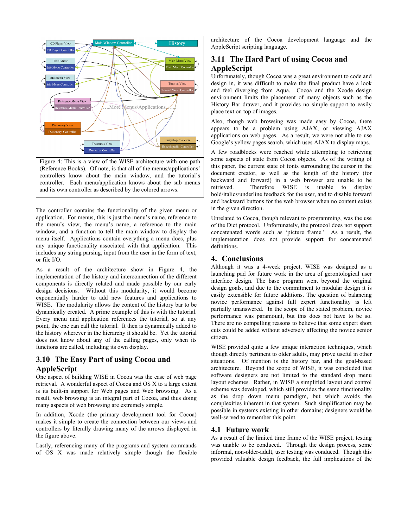

controllers know about the main window, and the tutorial's controller. Each menu/application knows about the sub menus and its own controller as described by the colored arrows.

The controller contains the functionality of the given menu or application. For menus, this is just the menu's name, reference to the menu's view, the menu's name, a reference to the main window, and a function to tell the main window to display the menu itself. Applications contain everything a menu does, plus any unique functionality associated with that application. This includes any string parsing, input from the user in the form of text, or file I/O.

As a result of the architecture show in Figure 4, the implementation of the history and interconnection of the different components is directly related and made possible by our early design decisions. Without this modularity, it would become exponentially harder to add new features and applications to WISE. The modularity allows the content of the history bar to be dynamically created. A prime example of this is with the tutorial. Every menu and application references the tutorial, so at any point, the one can call the tutorial. It then is dynamically added to the history wherever in the hierarchy it should be. Yet the tutorial does not know about any of the calling pages, only when its functions are called, including its own display.

# **3.10 The Easy Part of using Cocoa and AppleScript**

One aspect of building WISE in Cocoa was the ease of web page retrieval. A wonderful aspect of Cocoa and OS X to a large extent is its built-in support for Web pages and Web browsing. As a result, web browsing is an integral part of Cocoa, and thus doing many aspects of web browsing are extremely simple.

In addition, Xcode (the primary development tool for Cocoa) makes it simple to create the connection between our views and controllers by literally drawing many of the arrows displayed in the figure above.

Lastly, referencing many of the programs and system commands of OS X was made relatively simple though the flexible architecture of the Cocoa development language and the AppleScript scripting language.

# **3.11 The Hard Part of using Cocoa and AppleScript**

Unfortunately, though Cocoa was a great environment to code and design in, it was difficult to make the final product have a look and feel diverging from Aqua. Cocoa and the Xcode design environment limits the placement of many objects such as the History Bar drawer, and it provides no simple support to easily place text on top of images.

Also, though web browsing was made easy by Cocoa, there appears to be a problem using AJAX, or viewing AJAX applications on web pages. As a result, we were not able to use Google's yellow pages search, which uses AJAX to display maps.

A few roadblocks were reached while attempting to retrieving some aspects of state from Cocoa objects. As of the writing of this paper, the current state of fonts surrounding the cursor in the document creator, as well as the length of the history (for backward and forward) in a web browser are unable to be retrieved. Therefore WISE is unable to display bold/italics/underline feedback for the user, and to disable forward and backward buttons for the web browser when no content exists in the given direction.

Unrelated to Cocoa, though relevant to programming, was the use of the Dict protocol. Unfortunately, the protocol does not support concatenated words such as 'picture frame.' As a result, the implementation does not provide support for concatenated definitions.

# **4. Conclusions**

Although it was a 4-week project, WISE was designed as a launching pad for future work in the area of gerontological user interface design. The base program went beyond the original design goals, and due to the commitment to modular design it is easily extensible for future additions. The question of balancing novice performance against full expert functionality is left partially unanswered. In the scope of the stated problem, novice performance was paramount, but this does not have to be so. There are no compelling reasons to believe that some expert short cuts could be added without adversely affecting the novice senior citizen.

WISE provided quite a few unique interaction techniques, which though directly pertinent to older adults, may prove useful in other situations. Of mention is the history bar, and the goal-based architecture. Beyond the scope of WISE, it was concluded that software designers are not limited to the standard drop menu layout schemes. Rather, in WISE a simplified layout and control scheme was developed, which still provides the same functionality as the drop down menu paradigm, but which avoids the complexities inherent in that system. Such simplification may be possible in systems existing in other domains; designers would be well-served to remember this point.

# **4.1 Future work**

As a result of the limited time frame of the WISE project, testing was unable to be conduced. Through the design process, some informal, non-older-adult, user testing was conduced. Though this provided valuable design feedback, the full implications of the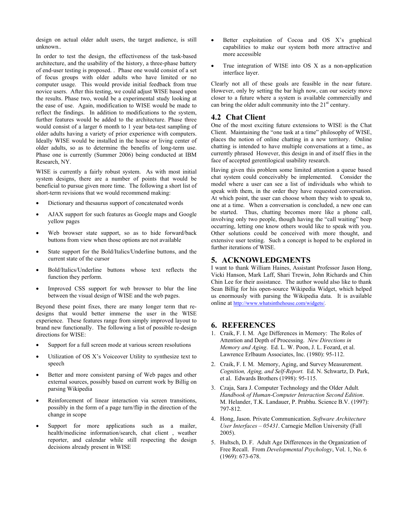design on actual older adult users, the target audience, is still unknown..

In order to test the design, the effectiveness of the task-based architecture, and the usability of the history, a three-phase battery of end-user testing is proposed. . Phase one would consist of a set of focus groups with older adults who have limited or no computer usage. This would provide initial feedback from true novice users. After this testing, we could adjust WISE based upon the results. Phase two, would be a experimental study looking at the ease of use. Again, modification to WISE would be made to reflect the findings. In addition to modifications to the system, further features would be added to the architecture. Phase three would consist of a larger 6 month to 1 year beta-test sampling of older adults having a variety of prior experience with computers. Ideally WISE would be installed in the house or living center of older adults, so as to determine the benefits of long-term use. Phase one is currently (Summer 2006) being conducted at IBM Research, NY.

WISE is currently a fairly robust system. As with most initial system designs, there are a number of points that would be beneficial to pursue given more time. The following a short list of short-term revisions that we would recommend making:

- Dictionary and thesaurus support of concatenated words
- AJAX support for such features as Google maps and Google yellow pages
- Web browser state support, so as to hide forward/back buttons from view when those options are not available
- State support for the Bold/Italics/Underline buttons, and the current state of the cursor
- Bold/Italics/Underline buttons whose text reflects the function they perform.
- Improved CSS support for web browser to blur the line between the visual design of WISE and the web pages.

Beyond these point fixes, there are many longer term that redesigns that would better immerse the user in the WISE experience. These features range from simply improved layout to brand new functionally. The following a list of possible re-design directions for WISE:

- Support for a full screen mode at various screen resolutions
- Utilization of OS X's Voiceover Utility to synthesize text to speech
- Better and more consistent parsing of Web pages and other external sources, possibly based on current work by Billig on parsing Wikipedia
- Reinforcement of linear interaction via screen transitions, possibly in the form of a page turn/flip in the direction of the change in scope
- Support for more applications such as a mailer, health/medicine information/search, chat client , weather reporter, and calendar while still respecting the design decisions already present in WISE
- Better exploitation of Cocoa and OS X's graphical capabilities to make our system both more attractive and more accessible
- True integration of WISE into OS X as a non-application interface layer.

Clearly not all of these goals are feasible in the near future. However, only by setting the bar high now, can our society move closer to a future where a system is available commercially and can bring the older adult community into the  $21<sup>st</sup>$  century.

#### **4.2 Chat Client**

One of the most exciting future extensions to WISE is the Chat Client. Maintaining the "one task at a time" philosophy of WISE, places the notion of online chatting in a new territory. Online chatting is intended to have multiple conversations at a time., as currently phrased However, this design in and of itself flies in the face of accepted gerentilogical usability research.

Having given this problem some limited attention a queue based chat system could conceivably be implemented. Consider the model where a user can see a list of individuals who whish to speak with them, in the order they have requested conversation. At which point, the user can choose whom they wish to speak to, one at a time. When a conversation is concluded, a new one can be started. Thus, chatting becomes more like a phone call, involving only two people, though having the "call waiting" beep occurring, letting one know others would like to speak with you. Other solutions could be conceived with more thought, and extensive user testing. Such a concept is hoped to be explored in further iterations of WISE.

#### **5. ACKNOWLEDGMENTS**

I want to thank William Haines, Assistant Professor Jason Hong, Vicki Hanson, Mark Laff, Shari Trewin, John Richards and Chin Chin Lee for their assistance. The author would also like to thank Sean Billig for his open-source Wikipedia Widget, which helped us enormously with parsing the Wikipedia data. It is available online at<http://www.whatsinthehouse.com/widgets/>.

#### **6. REFERENCES**

- <span id="page-8-1"></span>1. Craik, F. I. M. Age Differences in Memory: The Roles of Attention and Depth of Processing. *New Directions in Memory and Aging*. Ed. L. W. Poon, J. L. Fozard, et al. Lawrence Erlbaum Associates, Inc. (1980): 95-112.
- <span id="page-8-3"></span>2. Craik, F. I. M. Memory, Aging, and Survey Measurement. *Cognition, Aging, and Self-Report.* Ed. N. Schwartz, D. Park, et al. Edwards Brothers (1998): 95-115.
- <span id="page-8-0"></span>3. Czaja, Sara J. Computer Technology and the Older Adult*. Handbook of Human-Computer Interaction Second Edition*. M. Helander, T.K. Landauer, P. Prabhu. Science B.V. (1997): 797-812.
- <span id="page-8-4"></span>4. Hong, Jason. Private Communication. *Software Architecture User Interfaces – 05431*. Carnegie Mellon University (Fall 2005).
- <span id="page-8-2"></span>5. Hultsch, D. F. Adult Age Differences in the Organization of Free Recall. From *Developmental Psychology*, Vol. 1, No. 6 (1969): 673-678.